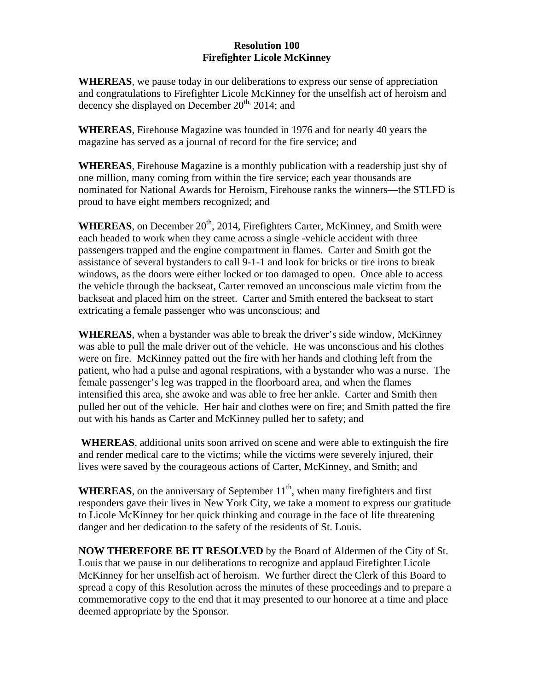## **Resolution 100 Firefighter Licole McKinney**

**WHEREAS**, we pause today in our deliberations to express our sense of appreciation and congratulations to Firefighter Licole McKinney for the unselfish act of heroism and decency she displayed on December  $20^{th}$ ,  $2014$ ; and

**WHEREAS**, Firehouse Magazine was founded in 1976 and for nearly 40 years the magazine has served as a journal of record for the fire service; and

**WHEREAS**, Firehouse Magazine is a monthly publication with a readership just shy of one million, many coming from within the fire service; each year thousands are nominated for National Awards for Heroism, Firehouse ranks the winners—the STLFD is proud to have eight members recognized; and

WHEREAS, on December 20<sup>th</sup>, 2014, Firefighters Carter, McKinney, and Smith were each headed to work when they came across a single -vehicle accident with three passengers trapped and the engine compartment in flames. Carter and Smith got the assistance of several bystanders to call 9-1-1 and look for bricks or tire irons to break windows, as the doors were either locked or too damaged to open. Once able to access the vehicle through the backseat, Carter removed an unconscious male victim from the backseat and placed him on the street. Carter and Smith entered the backseat to start extricating a female passenger who was unconscious; and

**WHEREAS**, when a bystander was able to break the driver's side window, McKinney was able to pull the male driver out of the vehicle. He was unconscious and his clothes were on fire. McKinney patted out the fire with her hands and clothing left from the patient, who had a pulse and agonal respirations, with a bystander who was a nurse. The female passenger's leg was trapped in the floorboard area, and when the flames intensified this area, she awoke and was able to free her ankle. Carter and Smith then pulled her out of the vehicle. Her hair and clothes were on fire; and Smith patted the fire out with his hands as Carter and McKinney pulled her to safety; and

 **WHEREAS**, additional units soon arrived on scene and were able to extinguish the fire and render medical care to the victims; while the victims were severely injured, their lives were saved by the courageous actions of Carter, McKinney, and Smith; and

**WHEREAS**, on the anniversary of September  $11<sup>th</sup>$ , when many firefighters and first responders gave their lives in New York City, we take a moment to express our gratitude to Licole McKinney for her quick thinking and courage in the face of life threatening danger and her dedication to the safety of the residents of St. Louis.

**NOW THEREFORE BE IT RESOLVED** by the Board of Aldermen of the City of St. Louis that we pause in our deliberations to recognize and applaud Firefighter Licole McKinney for her unselfish act of heroism. We further direct the Clerk of this Board to spread a copy of this Resolution across the minutes of these proceedings and to prepare a commemorative copy to the end that it may presented to our honoree at a time and place deemed appropriate by the Sponsor.